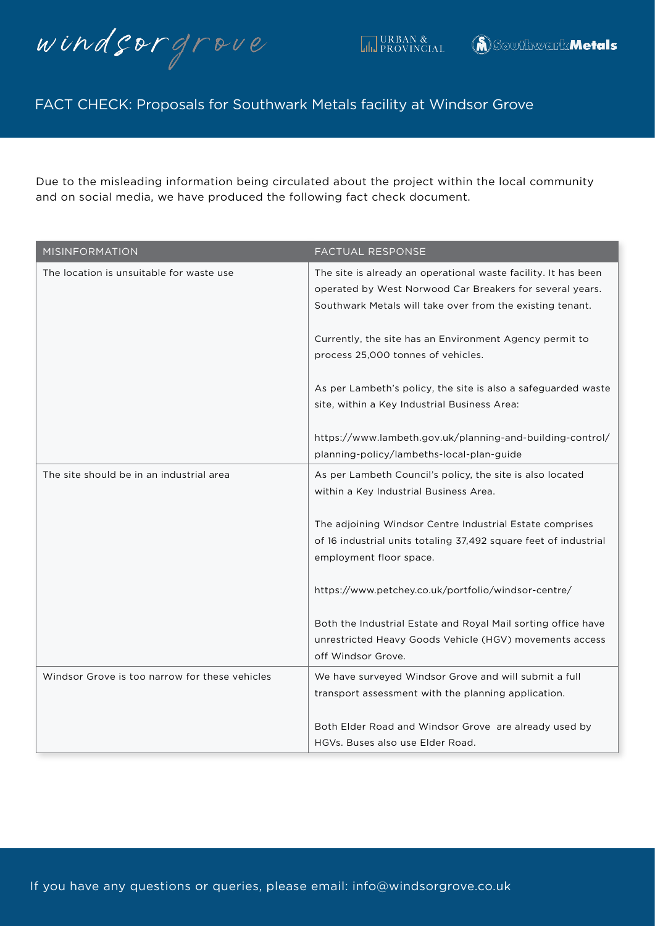windsorgrove

Due to the misleading information being circulated about the project within the local community and on social media, we have produced the following fact check document.

| <b>MISINFORMATION</b>                          | <b>FACTUAL RESPONSE</b>                                                                                                                                                                 |
|------------------------------------------------|-----------------------------------------------------------------------------------------------------------------------------------------------------------------------------------------|
| The location is unsuitable for waste use       | The site is already an operational waste facility. It has been<br>operated by West Norwood Car Breakers for several years.<br>Southwark Metals will take over from the existing tenant. |
|                                                | Currently, the site has an Environment Agency permit to<br>process 25,000 tonnes of vehicles.                                                                                           |
|                                                | As per Lambeth's policy, the site is also a safeguarded waste<br>site, within a Key Industrial Business Area:                                                                           |
|                                                | https://www.lambeth.gov.uk/planning-and-building-control/<br>planning-policy/lambeths-local-plan-guide                                                                                  |
| The site should be in an industrial area       | As per Lambeth Council's policy, the site is also located<br>within a Key Industrial Business Area.                                                                                     |
|                                                | The adjoining Windsor Centre Industrial Estate comprises                                                                                                                                |
|                                                | of 16 industrial units totaling 37,492 square feet of industrial<br>employment floor space.                                                                                             |
|                                                | https://www.petchey.co.uk/portfolio/windsor-centre/                                                                                                                                     |
|                                                | Both the Industrial Estate and Royal Mail sorting office have<br>unrestricted Heavy Goods Vehicle (HGV) movements access<br>off Windsor Grove.                                          |
| Windsor Grove is too narrow for these vehicles | We have surveyed Windsor Grove and will submit a full<br>transport assessment with the planning application.                                                                            |
|                                                | Both Elder Road and Windsor Grove are already used by<br>HGVs. Buses also use Elder Road.                                                                                               |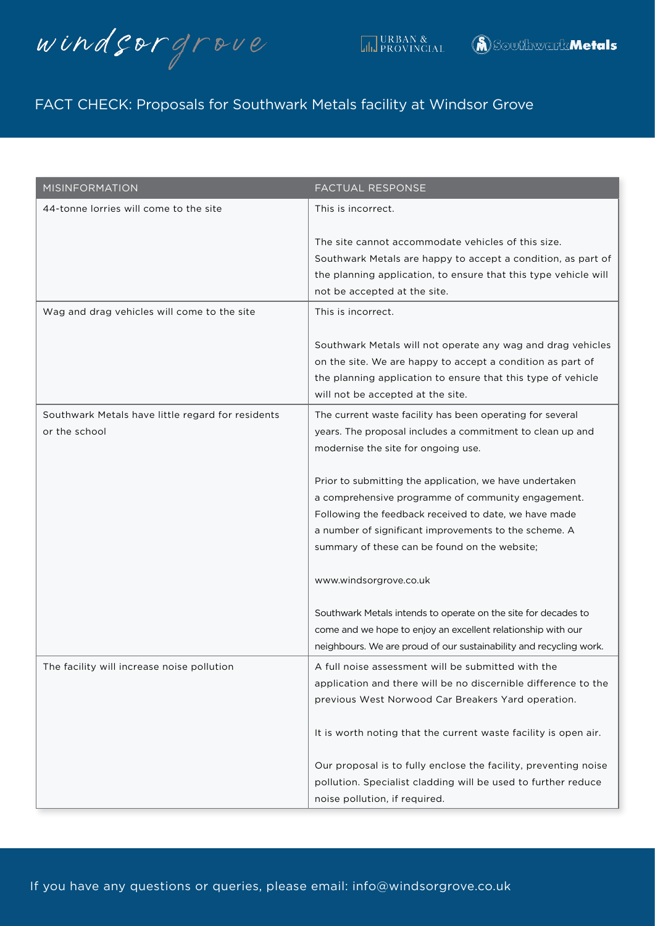windsorgrove

| <b>MISINFORMATION</b>                                              | FACTUAL RESPONSE                                                                                                                                                                                                                                                                 |
|--------------------------------------------------------------------|----------------------------------------------------------------------------------------------------------------------------------------------------------------------------------------------------------------------------------------------------------------------------------|
| 44-tonne lorries will come to the site                             | This is incorrect.                                                                                                                                                                                                                                                               |
|                                                                    | The site cannot accommodate vehicles of this size.<br>Southwark Metals are happy to accept a condition, as part of<br>the planning application, to ensure that this type vehicle will<br>not be accepted at the site.                                                            |
| Wag and drag vehicles will come to the site                        | This is incorrect.                                                                                                                                                                                                                                                               |
|                                                                    | Southwark Metals will not operate any wag and drag vehicles<br>on the site. We are happy to accept a condition as part of<br>the planning application to ensure that this type of vehicle<br>will not be accepted at the site.                                                   |
| Southwark Metals have little regard for residents<br>or the school | The current waste facility has been operating for several<br>years. The proposal includes a commitment to clean up and<br>modernise the site for ongoing use.                                                                                                                    |
|                                                                    | Prior to submitting the application, we have undertaken<br>a comprehensive programme of community engagement.<br>Following the feedback received to date, we have made<br>a number of significant improvements to the scheme. A<br>summary of these can be found on the website; |
|                                                                    | www.windsorgrove.co.uk                                                                                                                                                                                                                                                           |
|                                                                    | Southwark Metals intends to operate on the site for decades to<br>come and we hope to enjoy an excellent relationship with our<br>neighbours. We are proud of our sustainability and recycling work.                                                                             |
| The facility will increase noise pollution                         | A full noise assessment will be submitted with the<br>application and there will be no discernible difference to the<br>previous West Norwood Car Breakers Yard operation.                                                                                                       |
|                                                                    | It is worth noting that the current waste facility is open air.                                                                                                                                                                                                                  |
|                                                                    | Our proposal is to fully enclose the facility, preventing noise<br>pollution. Specialist cladding will be used to further reduce<br>noise pollution, if required.                                                                                                                |

If you have any questions or queries, please email: info@windsorgrove.co.uk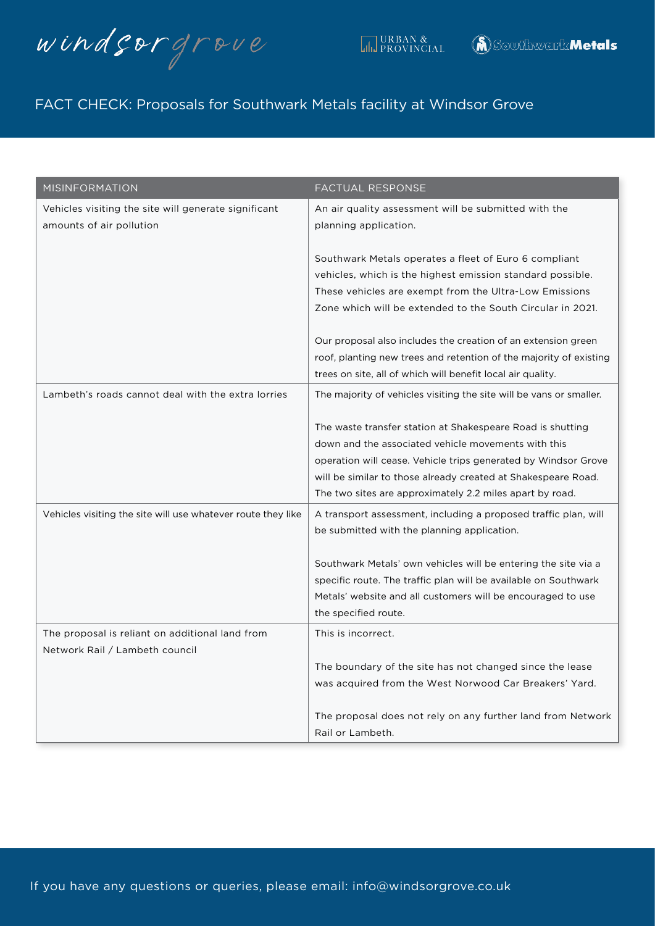windsorgrove

| <b>MISINFORMATION</b>                                                            | <b>FACTUAL RESPONSE</b>                                                                                                                                                                                                                                                                                          |
|----------------------------------------------------------------------------------|------------------------------------------------------------------------------------------------------------------------------------------------------------------------------------------------------------------------------------------------------------------------------------------------------------------|
| Vehicles visiting the site will generate significant<br>amounts of air pollution | An air quality assessment will be submitted with the<br>planning application.                                                                                                                                                                                                                                    |
|                                                                                  | Southwark Metals operates a fleet of Euro 6 compliant<br>vehicles, which is the highest emission standard possible.<br>These vehicles are exempt from the Ultra-Low Emissions<br>Zone which will be extended to the South Circular in 2021.                                                                      |
|                                                                                  | Our proposal also includes the creation of an extension green<br>roof, planting new trees and retention of the majority of existing<br>trees on site, all of which will benefit local air quality.                                                                                                               |
| Lambeth's roads cannot deal with the extra lorries                               | The majority of vehicles visiting the site will be vans or smaller.                                                                                                                                                                                                                                              |
|                                                                                  | The waste transfer station at Shakespeare Road is shutting<br>down and the associated vehicle movements with this<br>operation will cease. Vehicle trips generated by Windsor Grove<br>will be similar to those already created at Shakespeare Road.<br>The two sites are approximately 2.2 miles apart by road. |
| Vehicles visiting the site will use whatever route they like                     | A transport assessment, including a proposed traffic plan, will<br>be submitted with the planning application.                                                                                                                                                                                                   |
|                                                                                  | Southwark Metals' own vehicles will be entering the site via a<br>specific route. The traffic plan will be available on Southwark<br>Metals' website and all customers will be encouraged to use<br>the specified route.                                                                                         |
| The proposal is reliant on additional land from                                  | This is incorrect.                                                                                                                                                                                                                                                                                               |
| Network Rail / Lambeth council                                                   | The boundary of the site has not changed since the lease<br>was acquired from the West Norwood Car Breakers' Yard.                                                                                                                                                                                               |
|                                                                                  | The proposal does not rely on any further land from Network<br>Rail or Lambeth.                                                                                                                                                                                                                                  |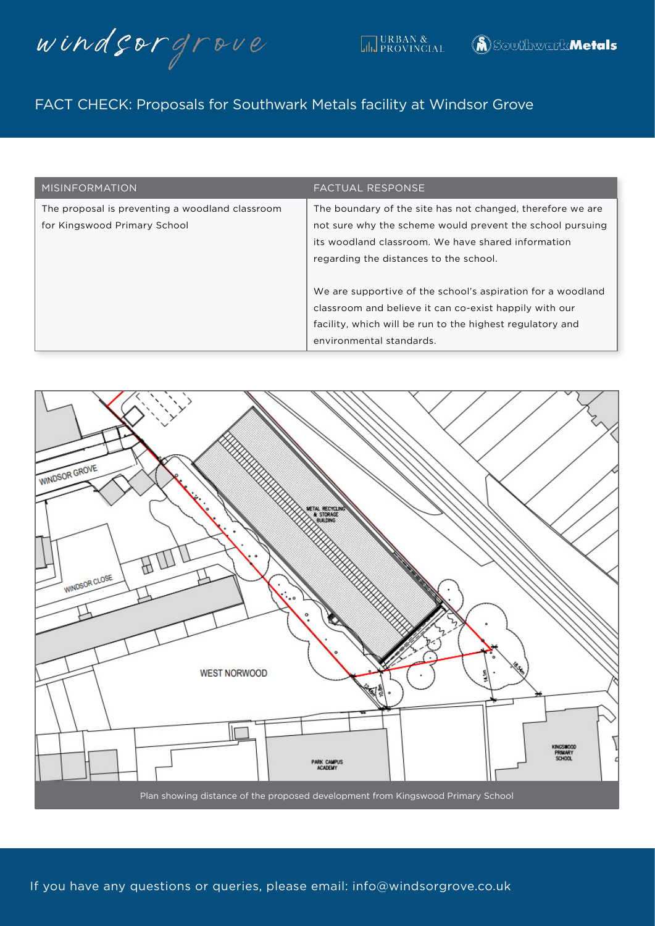windsorgrove

| <b>MISINFORMATION</b>                                                           | <b>FACTUAL RESPONSE</b>                                                                                                                                                                                                 |
|---------------------------------------------------------------------------------|-------------------------------------------------------------------------------------------------------------------------------------------------------------------------------------------------------------------------|
| The proposal is preventing a woodland classroom<br>for Kingswood Primary School | The boundary of the site has not changed, therefore we are<br>not sure why the scheme would prevent the school pursuing<br>its woodland classroom. We have shared information<br>regarding the distances to the school. |
|                                                                                 | We are supportive of the school's aspiration for a woodland<br>classroom and believe it can co-exist happily with our<br>facility, which will be run to the highest regulatory and<br>environmental standards.          |